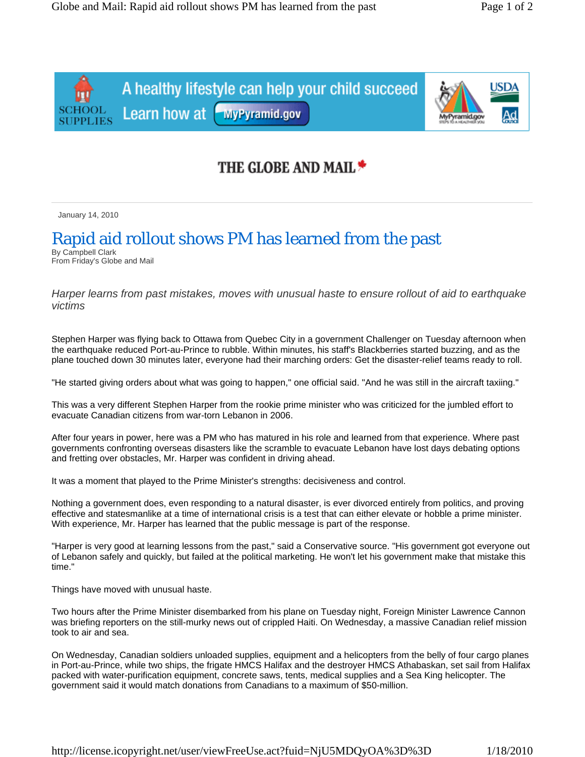A healthy lifestyle can help your child succeed Learn how at WyPyramid.gov



## THE GLOBE AND MAIL \*

January 14, 2010

## Rapid aid rollout shows PM has learned from the past

By Campbell Clark From Friday's Globe and Mail

*Harper learns from past mistakes, moves with unusual haste to ensure rollout of aid to earthquake victims* 

Stephen Harper was flying back to Ottawa from Quebec City in a government Challenger on Tuesday afternoon when the earthquake reduced Port-au-Prince to rubble. Within minutes, his staff's Blackberries started buzzing, and as the plane touched down 30 minutes later, everyone had their marching orders: Get the disaster-relief teams ready to roll.

"He started giving orders about what was going to happen," one official said. "And he was still in the aircraft taxiing."

This was a very different Stephen Harper from the rookie prime minister who was criticized for the jumbled effort to evacuate Canadian citizens from war-torn Lebanon in 2006.

After four years in power, here was a PM who has matured in his role and learned from that experience. Where past governments confronting overseas disasters like the scramble to evacuate Lebanon have lost days debating options and fretting over obstacles, Mr. Harper was confident in driving ahead.

It was a moment that played to the Prime Minister's strengths: decisiveness and control.

Nothing a government does, even responding to a natural disaster, is ever divorced entirely from politics, and proving effective and statesmanlike at a time of international crisis is a test that can either elevate or hobble a prime minister. With experience, Mr. Harper has learned that the public message is part of the response.

"Harper is very good at learning lessons from the past," said a Conservative source. "His government got everyone out of Lebanon safely and quickly, but failed at the political marketing. He won't let his government make that mistake this time."

Things have moved with unusual haste.

Two hours after the Prime Minister disembarked from his plane on Tuesday night, Foreign Minister Lawrence Cannon was briefing reporters on the still-murky news out of crippled Haiti. On Wednesday, a massive Canadian relief mission took to air and sea.

On Wednesday, Canadian soldiers unloaded supplies, equipment and a helicopters from the belly of four cargo planes in Port-au-Prince, while two ships, the frigate HMCS Halifax and the destroyer HMCS Athabaskan, set sail from Halifax packed with water-purification equipment, concrete saws, tents, medical supplies and a Sea King helicopter. The government said it would match donations from Canadians to a maximum of \$50-million.